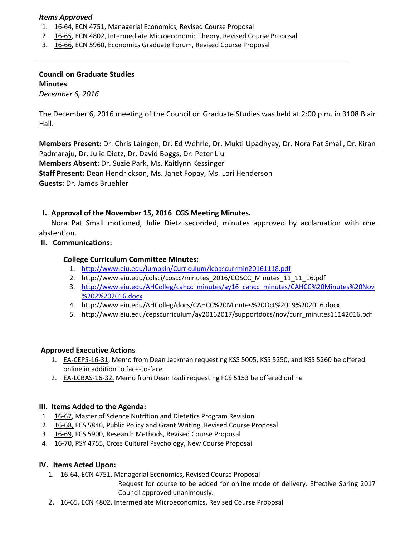### *Items Approved*

- 1. 16‐[64,](http://castle.eiu.edu/eiucgs/currentagendaitems/agenda16-64.pdf) ECN 4751, Managerial Economics, Revised Course Proposal
- 2. 16‐[65,](http://castle.eiu.edu/eiucgs/currentagendaitems/agenda16-65.pdf) ECN 4802, Intermediate Microeconomic Theory, Revised Course Proposal
- 3. 16‐[66,](http://castle.eiu.edu/eiucgs/currentagendaitems/agenda16-66.pdf) ECN 5960, Economics Graduate Forum, Revised Course Proposal

# **Council on Graduate Studies Minutes**

*December 6, 2016*

The December 6, 2016 meeting of the Council on Graduate Studies was held at 2:00 p.m. in 3108 Blair Hall.

**Members Present:** Dr. Chris Laingen, Dr. Ed Wehrle, Dr. Mukti Upadhyay, Dr. Nora Pat Small, Dr. Kiran Padmaraju, Dr. Julie Dietz, Dr. David Boggs, Dr. Peter Liu **Members Absent:** Dr. Suzie Park, Ms. Kaitlynn Kessinger **Staff Present:** Dean Hendrickson, Ms. Janet Fopay, Ms. Lori Henderson **Guests:** Dr. James Bruehler

## **I. Approval of the [November](http://castle.eiu.edu/eiucgs/currentminutes/Minutes11-15-16.pdf) 15, 2016 CGS Meeting Minutes.**

Nora Pat Small motioned, Julie Dietz seconded, minutes approved by acclamation with one abstention.

**II. Communications:**

### **College Curriculum Committee Minutes:**

- 1. [http://www.eiu.edu/lumpkin/Curriculum/lcbascurrmin20161118.pd](http://www.eiu.edu/lumpkin/Curriculum/lcbascurrmin20161118.pdf)f
- 2. [http://www.eiu.edu/colsci/coscc/minutes\\_2016/COSCC\\_Minutes\\_11\\_11\\_16.pdf](http://www.eiu.edu/colsci/coscc/minutes_2016/COSCC_Minutes_11_11_16.pdf)
- 3. [http://www.eiu.edu/AHColleg/cahcc\\_minutes/ay16\\_cahcc\\_minutes/CAHCC%20Minutes%20Nov](http://www.eiu.edu/AHColleg/cahcc_minutes/ay16_cahcc_minutes/CAHCC%20Minutes%20Nov%202%202016.docx) %202%202016.docx
- 4. <http://www.eiu.edu/AHColleg/docs/CAHCC%20Minutes%20Oct%2019%202016.docx>
- 5. [http://www.eiu.edu/cepscurriculum/ay20162017/supportdocs/nov/curr\\_minutes11142016.pdf](http://www.eiu.edu/cepscurriculum/ay20162017/supportdocs/nov/curr_minutes11142016.pdf)

#### **Approved Executive Actions**

- 1. EA-[CEPS](http://castle.eiu.edu/eiucgs/exec-actions/EA-CEPS-16-31.pdf)-16-31, Memo from Dean Jackman requesting KSS 5005, KSS 5250, and KSS 5260 be offered online in addition to face‐to‐face
- 2. EA-[LCBAS](http://castle.eiu.edu/eiucgs/exec-actions/EA-LCBAS-16-32.pdf)-16-32, Memo from Dean Izadi requesting FCS 5153 be offered online

#### **III. Items Added to the Agenda:**

- 1. 16‐[67,](http://castle.eiu.edu/eiucgs/currentagendaitems/agenda16-67.pdf) Master of Science Nutrition and Dietetics Program Revision
- 2. 16‐[68,](http://castle.eiu.edu/eiucgs/currentagendaitems/agenda16-68.pdf) FCS 5846, Public Policy and Grant Writing, Revised Course Proposal
- 3. 16‐[69,](http://castle.eiu.edu/eiucgs/currentagendaitems/agenda16-69.pdf) FCS 5900, Research Methods, Revised Course Proposal
- 4. 16‐[70,](http://castle.eiu.edu/eiucgs/currentagendaitems/agenda16-70.pdf) PSY 4755, Cross Cultural Psychology, New Course Proposal

## **IV. Items Acted Upon:**

1. 16‐[64,](http://castle.eiu.edu/eiucgs/currentagendaitems/agenda16-64.pdf) ECN 4751, Managerial Economics, Revised Course Proposal

Request for course to be added for online mode of delivery. Effective Spring 2017 Council approved unanimously.

2. 16-[65,](http://castle.eiu.edu/eiucgs/currentagendaitems/agenda16-65.pdf) ECN 4802, Intermediate Microeconomics, Revised Course Proposal